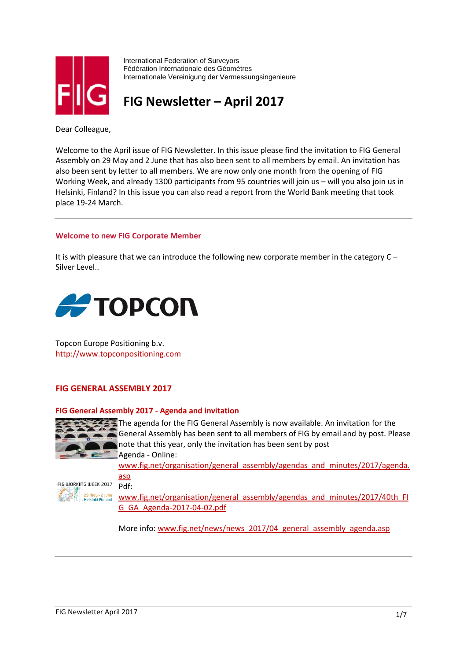

International Federation of Surveyors Fédération Internationale des Géomètres Internationale Vereinigung der Vermessungsingenieure

**FIG Newsletter – April 2017**

Dear Colleague,

Welcome to the April issue of FIG Newsletter. In this issue please find the invitation to FIG General Assembly on 29 May and 2 June that has also been sent to all members by email. An invitation has also been sent by letter to all members. We are now only one month from the opening of FIG Working Week, and already 1300 participants from 95 countries will join us – will you also join us in Helsinki, Finland? In this issue you can also read a report from the World Bank meeting that took place 19-24 March.

## **Welcome to new FIG Corporate Member**

It is with pleasure that we can introduce the following new corporate member in the category C – Silver Level..



Topcon Europe Positioning b.v. [http://www.topconpositioning.com](http://www.topconpositioning.com/)

## **FIG GENERAL ASSEMBLY 2017**

## **FIG General Assembly 2017 - Agenda and invitation**



The agenda for the FIG General Assembly is now available. An invitation for the General Assembly has been sent to all members of FIG by email and by post. Please note that this year, only the invitation has been sent by post Agenda - Online:

[www.fig.net/organisation/general\\_assembly/agendas\\_and\\_minutes/2017/agenda.](http://www.fig.net/organisation/general_assembly/agendas_and_minutes/2017/agenda.asp) [asp](http://www.fig.net/organisation/general_assembly/agendas_and_minutes/2017/agenda.asp)

FIG WORKING WEEK 2017 Pdf: 29 May - 2 June<br>Helsinki Finland

[www.fig.net/organisation/general\\_assembly/agendas\\_and\\_minutes/2017/40th\\_FI](http://www.fig.net/organisation/general_assembly/agendas_and_minutes/2017/40th_FIG_GA_Agenda-2017-04-02.pdf) [G\\_GA\\_Agenda-2017-04-02.pdf](http://www.fig.net/organisation/general_assembly/agendas_and_minutes/2017/40th_FIG_GA_Agenda-2017-04-02.pdf)

More info: [www.fig.net/news/news\\_2017/04\\_general\\_assembly\\_agenda.asp](http://www.fig.net/news/news_2017/04_general_assembly_agenda.asp)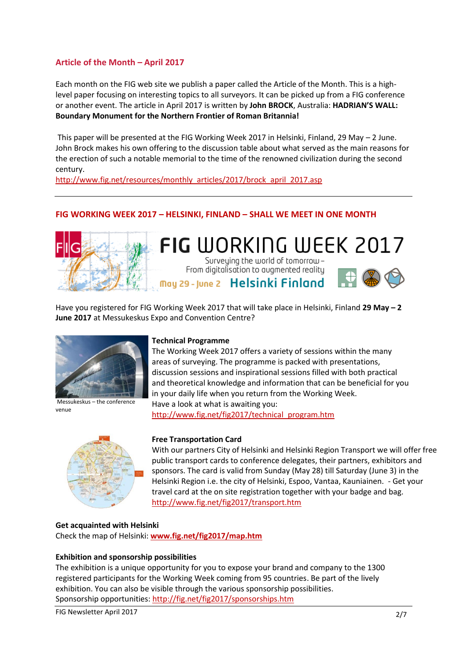# **Article of the Month – April 2017**

Each month on the FIG web site we publish a paper called the Article of the Month. This is a highlevel paper focusing on interesting topics to all surveyors. It can be picked up from a FIG conference or another event. The article in April 2017 is written by **John BROCK**, Australia: **HADRIAN'S WALL: Boundary Monument for the Northern Frontier of Roman Britannia!** 

This paper will be presented at the FIG Working Week 2017 in Helsinki, Finland, 29 May – 2 June. John Brock makes his own offering to the discussion table about what served as the main reasons for the erection of such a notable memorial to the time of the renowned civilization during the second century.

[http://www.fig.net/resources/monthly\\_articles/2017/brock\\_april\\_2017.asp](http://www.fig.net/resources/monthly_articles/2017/brock_april_2017.asp)

## **FIG WORKING WEEK 2017 – HELSINKI, FINLAND – SHALL WE MEET IN ONE MONTH**



**FIG** WORKING WEEK 2017 Surveying the world of tomorrow-From digitalisation to augmented reality May 29 - June 2 Helsinki Finland



Have you registered for FIG Working Week 2017 that will take place in Helsinki, Finland **29 May – 2 June 2017** at Messukeskus Expo and Convention Centre?



Messukeskus – the conference venue



## **Technical Programme**

The Working Week 2017 offers a variety of sessions within the many areas of surveying. The programme is packed with presentations, discussion sessions and inspirational sessions filled with both practical and theoretical knowledge and information that can be beneficial for you in your daily life when you return from the Working Week. Have a look at what is awaiting you:

[http://www.fig.net/fig2017/technical\\_program.htm](http://www.fig.net/fig2017/technical_program.htm)

## **Free Transportation Card**

With our partners City of Helsinki and Helsinki Region Transport we will offer free public transport cards to conference delegates, their partners, exhibitors and sponsors. The card is valid from Sunday (May 28) till Saturday (June 3) in the Helsinki Region i.e. the city of Helsinki, Espoo, Vantaa, Kauniainen. - Get your travel card at the on site registration together with your badge and bag. <http://www.fig.net/fig2017/transport.htm>

## **Get acquainted with Helsinki**

Check the map of Helsinki: **[www.fig.net/fig2017/map.htm](http://www.fig.net/fig2017/map.htm)** 

#### **Exhibition and sponsorship possibilities**

The exhibition is a unique opportunity for you to expose your brand and company to the 1300 registered participants for the Working Week coming from 95 countries. Be part of the lively exhibition. You can also be visible through the various sponsorship possibilities. Sponsorship opportunities:<http://fig.net/fig2017/sponsorships.htm>

FIG Newsletter April 2017 2/7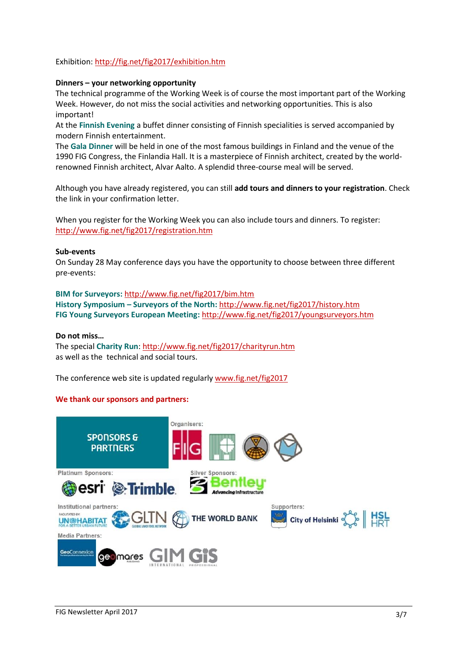## Exhibition:<http://fig.net/fig2017/exhibition.htm>

## **Dinners – your networking opportunity**

The technical programme of the Working Week is of course the most important part of the Working Week. However, do not miss the social activities and networking opportunities. This is also important!

At the **Finnish Evening** a buffet dinner consisting of Finnish specialities is served accompanied by modern Finnish entertainment.

The **Gala Dinner** will be held in one of the most famous buildings in Finland and the venue of the 1990 FIG Congress, the Finlandia Hall. It is a masterpiece of Finnish architect, created by the worldrenowned Finnish architect, Alvar Aalto. A splendid three-course meal will be served.

Although you have already registered, you can still **add tours and dinners to your registration**. Check the link in your confirmation letter.

When you register for the Working Week you can also include tours and dinners. To register: <http://www.fig.net/fig2017/registration.htm>

#### **Sub-events**

On Sunday 28 May conference days you have the opportunity to choose between three different pre-events:

**BIM for Surveyors:** <http://www.fig.net/fig2017/bim.htm> **History Symposium – Surveyors of the North:** <http://www.fig.net/fig2017/history.htm> **FIG Young Surveyors European Meeting:** <http://www.fig.net/fig2017/youngsurveyors.htm>

#### **Do not miss…**

The special **Charity Run**[: http://www.fig.net/fig2017/charityrun.htm](http://www.fig.net/fig2017/charityrun.htm) as well as the technical and social tours.

The conference web site is updated regularly [www.fig.net/fig2017](http://www.fig.net/fig2017)

#### **We thank our sponsors and partners:**

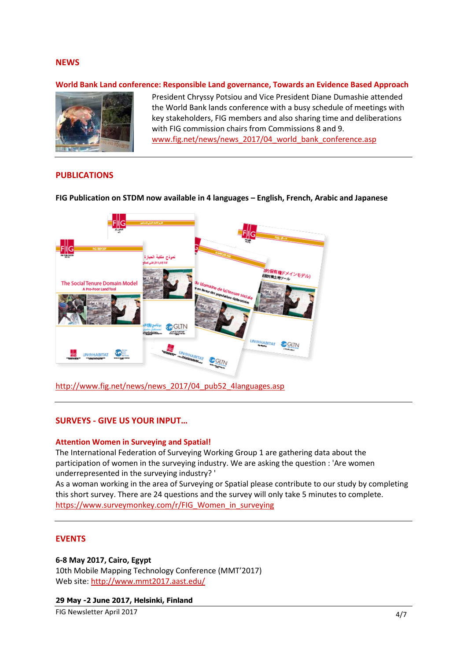## **NEWS**

#### **World Bank Land conference: Responsible Land governance, Towards an Evidence Based Approach**



President Chryssy Potsiou and Vice President Diane Dumashie attended the World Bank lands conference with a busy schedule of meetings with key stakeholders, FIG members and also sharing time and deliberations with FIG commission chairs from Commissions 8 and 9. [www.fig.net/news/news\\_2017/04\\_world\\_bank\\_conference.asp](http://www.fig.net/news/news_2017/04_world_bank_conference.asp)

#### **PUBLICATIONS**

**FIG Publication on STDM now available in 4 languages – English, French, Arabic and Japanese**



[http://www.fig.net/news/news\\_2017/04\\_pub52\\_4languages.asp](http://www.fig.net/news/news_2017/04_pub52_4languages.asp)

#### **SURVEYS - GIVE US YOUR INPUT…**

#### **Attention Women in Surveying and Spatial!**

The International Federation of Surveying Working Group 1 are gathering data about the participation of women in the surveying industry. We are asking the question : 'Are women underrepresented in the surveying industry? '

As a woman working in the area of Surveying or Spatial please contribute to our study by completing this short survey. There are 24 questions and the survey will only take 5 minutes to complete. [https://www.surveymonkey.com/r/FIG\\_Women\\_in\\_surveying](https://www.surveymonkey.com/r/FIG_Women_in_surveying)

#### **EVENTS**

#### **6-8 May 2017, Cairo, Egypt**

10th Mobile Mapping Technology Conference (MMT'2017) Web site:<http://www.mmt2017.aast.edu/>

**29 May -2 June 2017, Helsinki, Finland**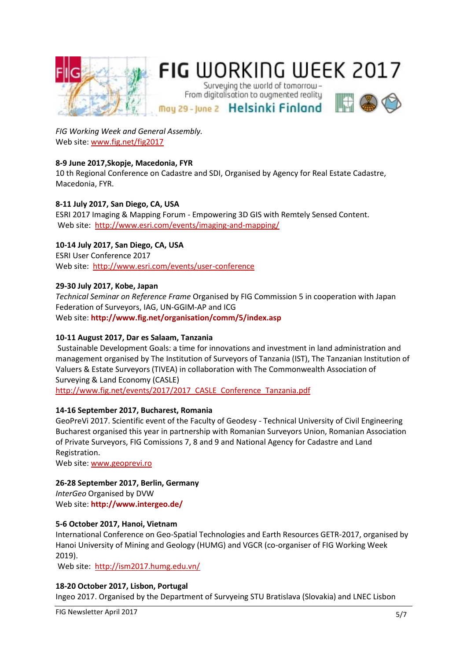

## *FIG Working Week and General Assembly.*  Web site: [www.fig.net/fig2017](http://www.fig.net/fig2017)

## **8-9 June 2017,Skopje, Macedonia, FYR**

10 th Regional Conference on Cadastre and SDI, Organised by Agency for Real Estate Cadastre, Macedonia, FYR.

## **8-11 July 2017, San Diego, CA, USA**

ESRI 2017 Imaging & Mapping Forum - Empowering 3D GIS with Remtely Sensed Content. Web site: <http://www.esri.com/events/imaging-and-mapping/>

## **10-14 July 2017, San Diego, CA, USA**

ESRI User Conference 2017 Web site:<http://www.esri.com/events/user-conference>

## **29-30 July 2017, Kobe, Japan**

*Technical Seminar on Reference Frame* Organised by FIG Commission 5 in cooperation with Japan Federation of Surveyors, IAG, UN-GGIM-AP and ICG Web site: **<http://www.fig.net/organisation/comm/5/index.asp>**

## **10-11 August 2017, Dar es Salaam, Tanzania**

Sustainable Development Goals: a time for innovations and investment in land administration and management organised by The Institution of Surveyors of Tanzania (IST), The Tanzanian Institution of Valuers & Estate Surveyors (TIVEA) in collaboration with The Commonwealth Association of Surveying & Land Economy (CASLE) http://www.fig.net/events/2017/2017 CASLE Conference Tanzania.pdf

#### **14-16 September 2017, Bucharest, Romania**

GeoPreVi 2017. Scientific event of the Faculty of Geodesy - Technical University of Civil Engineering Bucharest organised this year in partnership with Romanian Surveyors Union, Romanian Association of Private Surveyors, FIG Comissions 7, 8 and 9 and National Agency for Cadastre and Land Registration.

Web site: [www.geoprevi.ro](http://www.geoprevi.ro/)

## **26-28 September 2017, Berlin, Germany**

*InterGeo* Organised by DVW Web site: **<http://www.intergeo.de/>**

#### **5-6 October 2017, Hanoi, Vietnam**

International Conference on Geo-Spatial Technologies and Earth Resources GETR-2017, organised by Hanoi University of Mining and Geology (HUMG) and VGCR (co-organiser of FIG Working Week 2019).

Web site: <http://ism2017.humg.edu.vn/>

#### **18-20 October 2017, Lisbon, Portugal**

Ingeo 2017. Organised by the Department of Survyeing STU Bratislava (Slovakia) and LNEC Lisbon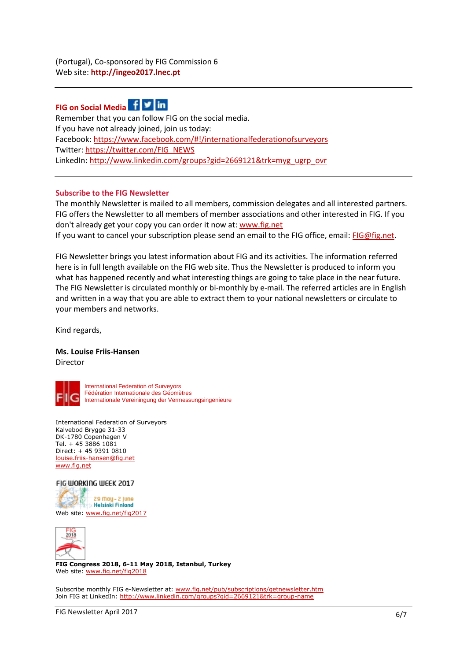# **FIG on Social Media**



Remember that you can follow FIG on the social media. If you have not already joined, join us today: Facebook:<https://www.facebook.com/#!/internationalfederationofsurveyors> Twitter: [https://twitter.com/FIG\\_NEWS](https://twitter.com/FIG_NEWS) LinkedIn: [http://www.linkedin.com/groups?gid=2669121&trk=myg\\_ugrp\\_ovr](http://www.linkedin.com/groups?gid=2669121&trk=myg_ugrp_ovr) 

## **Subscribe to the FIG Newsletter**

The monthly Newsletter is mailed to all members, commission delegates and all interested partners. FIG offers the Newsletter to all members of member associations and other interested in FIG. If you don't already get your copy you can order it now at: [www.fig.net](http://www.fig.net/pub/subscriptions/getnewsletter.htm) If you want to cancel your subscription please send an email to the FIG office, email: [FIG@fig.net.](mailto:FIG@fig.net)

FIG Newsletter brings you latest information about FIG and its activities. The information referred here is in full length available on the FIG web site. Thus the Newsletter is produced to inform you what has happened recently and what interesting things are going to take place in the near future. The FIG Newsletter is circulated monthly or bi-monthly by e-mail. The referred articles are in English and written in a way that you are able to extract them to your national newsletters or circulate to your members and networks.

Kind regards,

#### **Ms. Louise Friis-Hansen**  Director



International Federation of Surveyors Fédération Internationale des Géomètres Internationale Vereiningung der Vermessungsingenieure

International Federation of Surveyors Kalvebod Brygge 31-33 DK-1780 Copenhagen V Tel. + 45 3886 1081 Direct: + 45 9391 0810 [louise.friis-hansen@fig.net](mailto:louise.friis-hansen@fig.net)  [www.fig.net](http://www.fig.net/)

#### FIG WORKING WEEK 2017





**FIG Congress 2018, 6-11 May 2018, Istanbul, Turkey** Web site[: www.fig.net/fig2018](http://www.fig.net/fig2018)

Subscribe monthly FIG e-Newsletter at: [www.fig.net/pub/subscriptions/getnewsletter.htm](http://www.fig.net/pub/subscriptions/getnewsletter.htm) Join FIG at LinkedIn:<http://www.linkedin.com/groups?gid=2669121&trk=group-name>